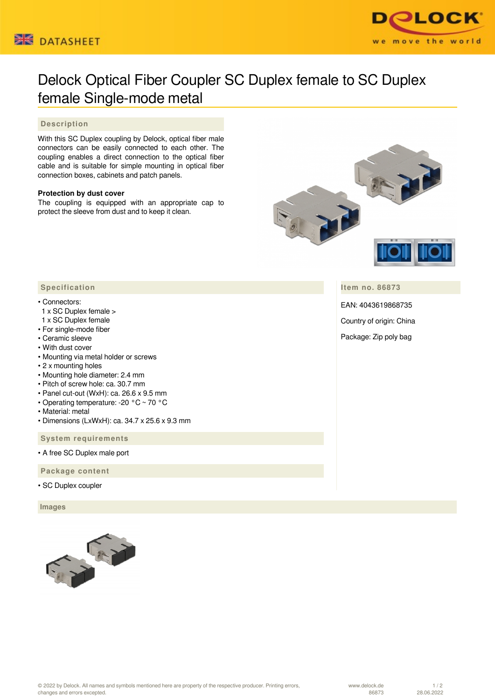



# Delock Optical Fiber Coupler SC Duplex female to SC Duplex female Single-mode metal

## **Description**

With this SC Duplex coupling by Delock, optical fiber male connectors can be easily connected to each other. The coupling enables a direct connection to the optical fiber cable and is suitable for simple mounting in optical fiber connection boxes, cabinets and patch panels.

### **Protection by dust cover**

The coupling is equipped with an appropriate cap to protect the sleeve from dust and to keep it clean.



**Item no. 86873**

EAN: 4043619868735

Country of origin: China

Package: Zip poly bag

### **Specification**

#### • Connectors:

- 1 x SC Duplex female >
- 1 x SC Duplex female
- For single-mode fiber
- Ceramic sleeve
- With dust cover
- Mounting via metal holder or screws
- 2 x mounting holes
- Mounting hole diameter: 2.4 mm
- Pitch of screw hole: ca. 30.7 mm
- Panel cut-out (WxH): ca. 26.6 x 9.5 mm
- Operating temperature: -20 °C ~ 70 °C
- Material: metal
- Dimensions (LxWxH): ca. 34.7 x 25.6 x 9.3 mm

 **System requirements**

• A free SC Duplex male port

 **Package content**

• SC Duplex coupler

 **Images**